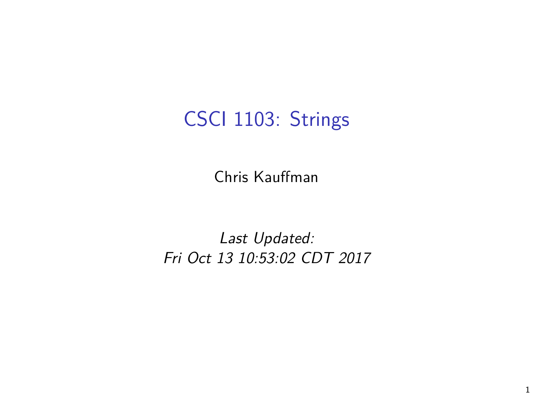# CSCI 1103: Strings

Chris Kauffman

Last Updated: Fri Oct 13 10:53:02 CDT 2017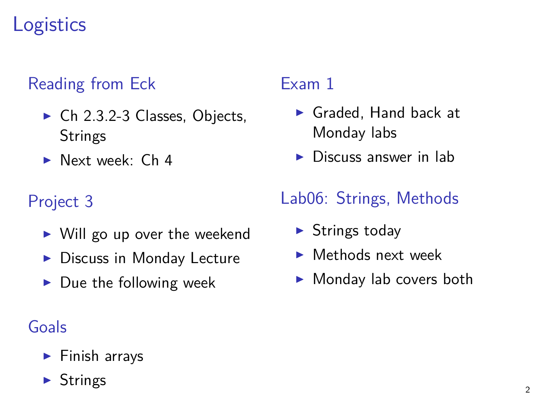# **Logistics**

### Reading from Eck

- $\triangleright$  Ch 2.3.2-3 Classes, Objects, **Strings**
- $\blacktriangleright$  Next week: Ch 4

### Project 3

- $\triangleright$  Will go up over the weekend
- $\blacktriangleright$  Discuss in Monday Lecture
- $\blacktriangleright$  Due the following week

### Goals

 $\blacktriangleright$  Finish arrays

#### **Strings**

### Exam 1

- $\blacktriangleright$  Graded. Hand back at Monday labs
- $\triangleright$  Discuss answer in lab

### Lab06: Strings, Methods

- $\triangleright$  Strings today
- $\blacktriangleright$  Methods next week
- $\blacktriangleright$  Monday lab covers both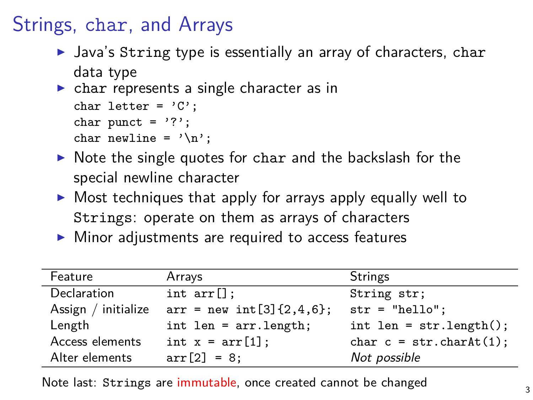## Strings, char, and Arrays

- $\blacktriangleright$  Java's String type is essentially an array of characters, char data type
- $\triangleright$  char represents a single character as in char letter =  $'C'$ :

```
char punct = '?';
```

```
char newline = '\n\cdot;
```
- $\triangleright$  Note the single quotes for char and the backslash for the special newline character
- $\triangleright$  Most techniques that apply for arrays apply equally well to Strings: operate on them as arrays of characters
- $\triangleright$  Minor adjustments are required to access features

| Feature             | Arrays                      | <b>Strings</b>             |
|---------------------|-----------------------------|----------------------------|
| Declaration         | int arr[]                   | String str;                |
| Assign / initialize | $arr = new int [3]{2,4,6};$ | $str = "hello":$           |
| Length              | $int len = arr.length;$     | $int len = str.length()$ ; |
| Access elements     | int $x = arr[1]$ ;          | char $c = str.charAt(1)$ ; |
| Alter elements      | $arr[2] = 8$ ;              | Not possible               |

Note last: Strings are immutable, once created cannot be changed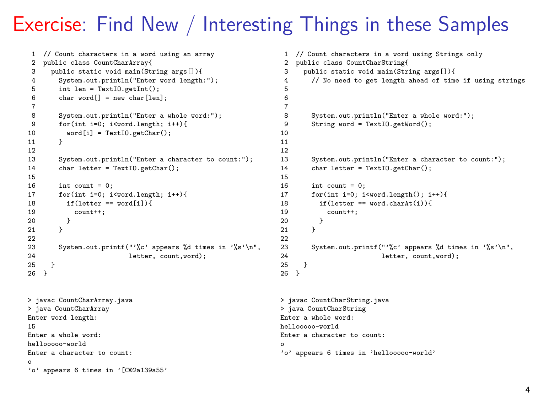## Exercise: Find New / Interesting Things in these Samples

```
1 // Count characters in a word using an array
 2 public class CountCharArray{
 3 public static void main(String args[]){
 4 System.out.println("Enter word length:");<br>5 int len = TextIO getInt():
 5 int len = TextIO.getInt();<br>6 char word[] = new char[len]
          char word[] = new char[len]:
 7
 8 System.out.println("Enter a whole word:");<br>9 for(int i=0; i<word.length; i++){
9 for(int i=0; i<word.length; i++){<br>10 word[i] = TextIO getChar();
          \texttt{word[i]} = \texttt{TextI0.getChar();}11 }
12
13 System.out.println("Enter a character to count:");<br>14 char letter = TextIO.getChar():
          char letter = TextIO.getChar();
\frac{15}{16}16 int count = 0;<br>17 for(int i=0; i
          17 for(int i=0; i<word.length; i++){
18 if(letter == word[i])19 count++;
\begin{matrix} 20 & 3 \\ 21 & 3 \end{matrix}21\frac{22}{23}23 System.out.printf("'%c' appears %d times in '%s'\n",<br>24 1etter count word).
        letter, count, word);
25 }
26 }
> javac CountCharArray.java
> java CountCharArray
Enter word length:
15
Enter a whole word:
hellooooo-world
Enter a character to count:
o
'o' appears 6 times in '[C@2a139a55'
                                                                                      1 // Count characters in a word using Strings only
                                                                                      2 public class CountCharString{<br>3 public static void main(Str:
                                                                                      3 public static void main(String args[]){<br>4 // No need to get length ahead of time
                                                                                               4 // No need to get length ahead of time if using strings
                                                                                      5
                                                                                      6
                                                                                      7
                                                                                      8 System.out.println("Enter a whole word:");<br>9 String word = TextIO getWord():
                                                                                               String word = TextIO.getWord();
                                                                                     10
                                                                                     11
                                                                                     \begin{array}{c} 12 \\ 13 \end{array}13 System.out.println("Enter a character to count:");<br>14 char letter = TextIO.getChar():
                                                                                               char letter = TextIO.getChar();
                                                                                     \frac{15}{16}16 int count = 0;<br>17 for(int i=0; i)
                                                                                               for(int i=0; i<word.length(); i++){
                                                                                     18 if(letter == word.charAt(i)){
                                                                                     19 count++;
                                                                                     \begin{matrix} 20 & 3 \\ 21 & 3 \end{matrix}21\frac{22}{23}23 System.out.printf("'%c' appears %d times in '%s'\n",<br>24 \arctan \frac{1}{2}letter, count, word);
                                                                                     25 }
                                                                                     26 }
                                                                                     > javac CountCharString.java
                                                                                    > java CountCharString
                                                                                     Enter a whole word:
                                                                                     hellooooo-world
                                                                                     Enter a character to count:
                                                                                     o
                                                                                     'o' appears 6 times in 'hellooooo-world'
```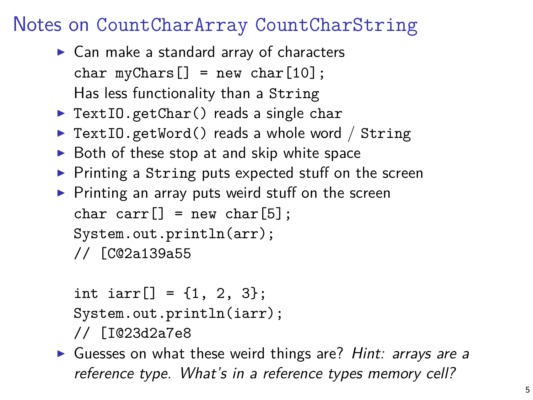## Notes on CountCharArray CountCharString

- $\triangleright$  Can make a standard array of characters char  $myChars$   $=$  new char $[10]$ ; Has less functionality than a String
- $\triangleright$  TextIO.getChar() reads a single char
- $\triangleright$  TextIO.getWord() reads a whole word / String
- $\triangleright$  Both of these stop at and skip white space
- $\triangleright$  Printing a String puts expected stuff on the screen
- $\blacktriangleright$  Printing an array puts weird stuff on the screen char carr $[]$  = new char $[5]$ ; System.out.println(arr); // [C@2a139a55

```
int iarr[] = \{1, 2, 3\};System.out.println(iarr);
```
- // [I@23d2a7e8
- Guesses on what these weird things are? Hint: arrays are a reference type. What's in a reference types memory cell?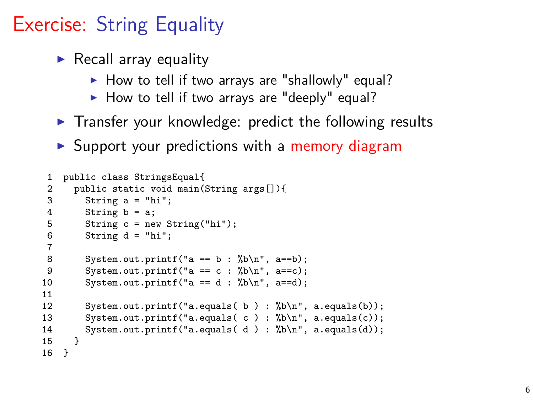# Exercise: String Equality

- $\blacktriangleright$  Recall array equality
	- $\blacktriangleright$  How to tell if two arrays are "shallowly" equal?
	- $\blacktriangleright$  How to tell if two arrays are "deeply" equal?
- $\triangleright$  Transfer your knowledge: predict the following results
- $\triangleright$  Support your predictions with a memory diagram

```
1 public class StringsEqual{
 2 public static void main(String args[]){<br>3 String a = "hi":
          String a = "hi":4 String b = a;<br>5 String c = ne5 String c = new String("hi");<br>6 String d = "hi";
          String d = "hi";\frac{7}{8}System.out.printf("a == b : %b\n", a==b);
9 System.out.printf("a == c : %b\n", a==c);<br>10 System out printf("a == d : %b\n" a==d);
          System.out.printf("a == d : %b\n", a==d);
11
12 System.out.printf("a.equals(b): %b\n", a.equals(b));<br>13 System.out.printf("a.equals(c): %b\n", a.equals(c));
          System.out.printf("a.equals(c) : \bh\n", a.equals(c));
14 System.out.printf("a.equals(d): % b\in \mathbb{R}, a.equals(d));
15 }
16 }
```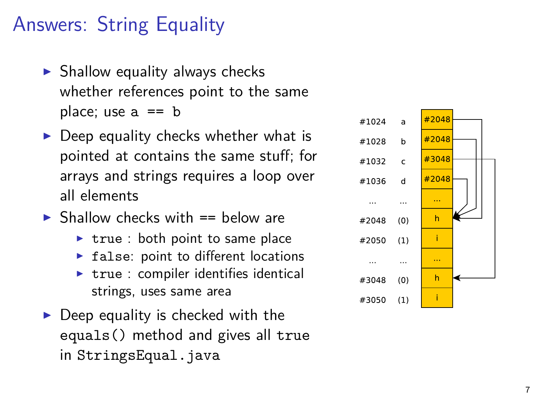# Answers: String Equality

- $\blacktriangleright$  Shallow equality always checks whether references point to the same place; use  $a == b$
- $\triangleright$  Deep equality checks whether what is pointed at contains the same stuff; for arrays and strings requires a loop over all elements
- $\triangleright$  Shallow checks with  $==$  below are
	- $\triangleright$  true : both point to same place
	- $\triangleright$  false: point to different locations
	- $\triangleright$  true : compiler identifies identical strings, uses same area
- $\triangleright$  Deep equality is checked with the equals() method and gives all true in StringsEqual.java

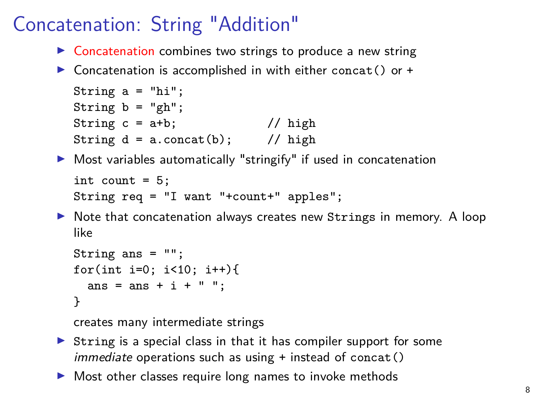# Concatenation: String "Addition"

- $\triangleright$  Concatenation combines two strings to produce a new string
- $\triangleright$  Concatenation is accomplished in with either concat() or +

```
String a = "hi";String b = "gh";String c = a+b; // highString d = a \cdot \text{concat}(b); // high
```
- $\triangleright$  Most variables automatically "stringify" if used in concatenation int count  $= 5$ ; String req = "I want "+count+" apples";
- $\triangleright$  Note that concatenation always creates new Strings in memory. A loop like

```
String ans = "";
for(int i=0; i <10; i ++){
  ans = ans + i + " ":
}
```
creates many intermediate strings

- $\triangleright$  String is a special class in that it has compiler support for some *immediate* operations such as using  $+$  instead of concat()
- $\triangleright$  Most other classes require long names to invoke methods